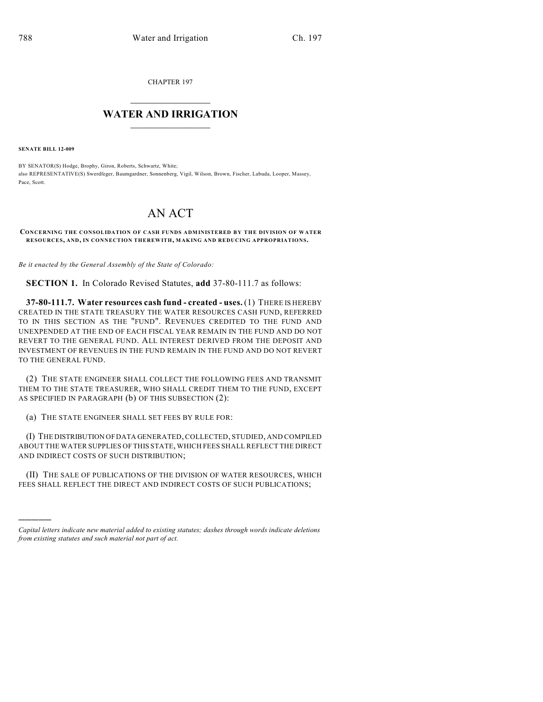CHAPTER 197

## $\overline{\phantom{a}}$  . The set of the set of the set of the set of the set of the set of the set of the set of the set of the set of the set of the set of the set of the set of the set of the set of the set of the set of the set o **WATER AND IRRIGATION**  $\_$   $\_$

**SENATE BILL 12-009**

)))))

BY SENATOR(S) Hodge, Brophy, Giron, Roberts, Schwartz, White; also REPRESENTATIVE(S) Swerdfeger, Baumgardner, Sonnenberg, Vigil, Wilson, Brown, Fischer, Labuda, Looper, Massey, Pace, Scott.

## AN ACT

**CONCERNING THE CONSOLIDATION OF CASH FUNDS ADMINISTERED BY THE DIVISION OF WATER RESOURCES, AND, IN CONNECTION THEREWITH, MAKING AND REDUCING APPROPRIATIONS.**

*Be it enacted by the General Assembly of the State of Colorado:*

**SECTION 1.** In Colorado Revised Statutes, **add** 37-80-111.7 as follows:

**37-80-111.7. Water resources cash fund - created - uses.** (1) THERE IS HEREBY CREATED IN THE STATE TREASURY THE WATER RESOURCES CASH FUND, REFERRED TO IN THIS SECTION AS THE "FUND". REVENUES CREDITED TO THE FUND AND UNEXPENDED AT THE END OF EACH FISCAL YEAR REMAIN IN THE FUND AND DO NOT REVERT TO THE GENERAL FUND. ALL INTEREST DERIVED FROM THE DEPOSIT AND INVESTMENT OF REVENUES IN THE FUND REMAIN IN THE FUND AND DO NOT REVERT TO THE GENERAL FUND.

(2) THE STATE ENGINEER SHALL COLLECT THE FOLLOWING FEES AND TRANSMIT THEM TO THE STATE TREASURER, WHO SHALL CREDIT THEM TO THE FUND, EXCEPT AS SPECIFIED IN PARAGRAPH (b) OF THIS SUBSECTION (2):

(a) THE STATE ENGINEER SHALL SET FEES BY RULE FOR:

(I) THE DISTRIBUTION OFDATA GENERATED, COLLECTED, STUDIED, AND COMPILED ABOUT THE WATER SUPPLIES OF THIS STATE, WHICH FEES SHALL REFLECT THE DIRECT AND INDIRECT COSTS OF SUCH DISTRIBUTION;

(II) THE SALE OF PUBLICATIONS OF THE DIVISION OF WATER RESOURCES, WHICH FEES SHALL REFLECT THE DIRECT AND INDIRECT COSTS OF SUCH PUBLICATIONS;

*Capital letters indicate new material added to existing statutes; dashes through words indicate deletions from existing statutes and such material not part of act.*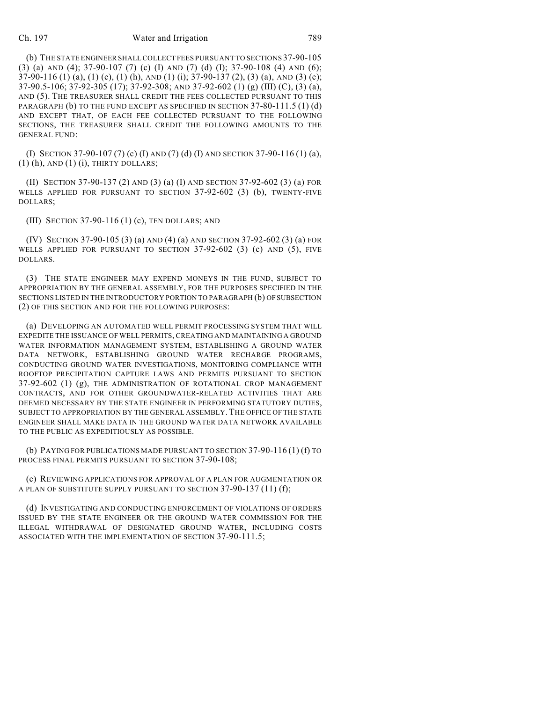## Ch. 197 Water and Irrigation 789

(b) THE STATE ENGINEER SHALL COLLECT FEES PURSUANT TO SECTIONS 37-90-105 (3) (a) AND (4); 37-90-107 (7) (c) (I) AND (7) (d) (I); 37-90-108 (4) AND (6);  $37-90-116$  (1) (a), (1) (c), (1) (h), AND (1) (i);  $37-90-137$  (2), (3) (a), AND (3) (c); 37-90.5-106; 37-92-305 (17); 37-92-308; AND 37-92-602 (1) (g) (III) (C), (3) (a), AND (5). THE TREASURER SHALL CREDIT THE FEES COLLECTED PURSUANT TO THIS PARAGRAPH (b) TO THE FUND EXCEPT AS SPECIFIED IN SECTION 37-80-111.5 (1) (d) AND EXCEPT THAT, OF EACH FEE COLLECTED PURSUANT TO THE FOLLOWING SECTIONS, THE TREASURER SHALL CREDIT THE FOLLOWING AMOUNTS TO THE GENERAL FUND:

(I) SECTION 37-90-107 (7) (c) (I) AND (7) (d) (I) AND SECTION 37-90-116 (1) (a),  $(1)$  (h), AND  $(1)$  (i), THIRTY DOLLARS;

(II) SECTION 37-90-137 (2) AND (3) (a) (I) AND SECTION 37-92-602 (3) (a) FOR WELLS APPLIED FOR PURSUANT TO SECTION 37-92-602 (3) (b), TWENTY-FIVE DOLLARS;

(III) SECTION 37-90-116 (1) (c), TEN DOLLARS; AND

(IV) SECTION 37-90-105 (3) (a) AND (4) (a) AND SECTION 37-92-602 (3) (a) FOR WELLS APPLIED FOR PURSUANT TO SECTION 37-92-602 (3) (c) AND (5), FIVE DOLLARS.

(3) THE STATE ENGINEER MAY EXPEND MONEYS IN THE FUND, SUBJECT TO APPROPRIATION BY THE GENERAL ASSEMBLY, FOR THE PURPOSES SPECIFIED IN THE SECTIONS LISTED IN THE INTRODUCTORY PORTION TO PARAGRAPH (b) OFSUBSECTION (2) OF THIS SECTION AND FOR THE FOLLOWING PURPOSES:

(a) DEVELOPING AN AUTOMATED WELL PERMIT PROCESSING SYSTEM THAT WILL EXPEDITE THE ISSUANCE OF WELL PERMITS, CREATING AND MAINTAINING A GROUND WATER INFORMATION MANAGEMENT SYSTEM, ESTABLISHING A GROUND WATER DATA NETWORK, ESTABLISHING GROUND WATER RECHARGE PROGRAMS, CONDUCTING GROUND WATER INVESTIGATIONS, MONITORING COMPLIANCE WITH ROOFTOP PRECIPITATION CAPTURE LAWS AND PERMITS PURSUANT TO SECTION 37-92-602 (1) (g), THE ADMINISTRATION OF ROTATIONAL CROP MANAGEMENT CONTRACTS, AND FOR OTHER GROUNDWATER-RELATED ACTIVITIES THAT ARE DEEMED NECESSARY BY THE STATE ENGINEER IN PERFORMING STATUTORY DUTIES, SUBJECT TO APPROPRIATION BY THE GENERAL ASSEMBLY. THE OFFICE OF THE STATE ENGINEER SHALL MAKE DATA IN THE GROUND WATER DATA NETWORK AVAILABLE TO THE PUBLIC AS EXPEDITIOUSLY AS POSSIBLE.

(b) PAYING FOR PUBLICATIONS MADE PURSUANT TO SECTION 37-90-116 (1) (f) TO PROCESS FINAL PERMITS PURSUANT TO SECTION 37-90-108;

(c) REVIEWING APPLICATIONS FOR APPROVAL OF A PLAN FOR AUGMENTATION OR A PLAN OF SUBSTITUTE SUPPLY PURSUANT TO SECTION 37-90-137 (11) (f);

(d) INVESTIGATING AND CONDUCTING ENFORCEMENT OF VIOLATIONS OF ORDERS ISSUED BY THE STATE ENGINEER OR THE GROUND WATER COMMISSION FOR THE ILLEGAL WITHDRAWAL OF DESIGNATED GROUND WATER, INCLUDING COSTS ASSOCIATED WITH THE IMPLEMENTATION OF SECTION 37-90-111.5;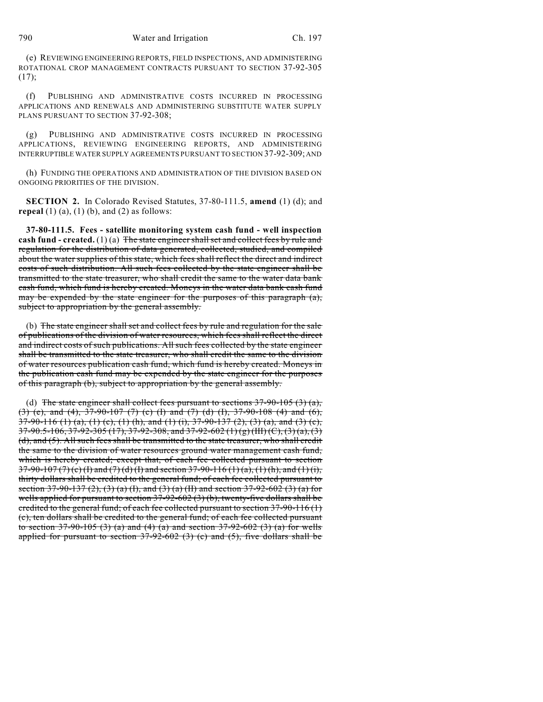(e) REVIEWING ENGINEERING REPORTS, FIELD INSPECTIONS, AND ADMINISTERING ROTATIONAL CROP MANAGEMENT CONTRACTS PURSUANT TO SECTION 37-92-305 (17);

(f) PUBLISHING AND ADMINISTRATIVE COSTS INCURRED IN PROCESSING APPLICATIONS AND RENEWALS AND ADMINISTERING SUBSTITUTE WATER SUPPLY PLANS PURSUANT TO SECTION 37-92-308;

(g) PUBLISHING AND ADMINISTRATIVE COSTS INCURRED IN PROCESSING APPLICATIONS, REVIEWING ENGINEERING REPORTS, AND ADMINISTERING INTERRUPTIBLE WATER SUPPLY AGREEMENTS PURSUANT TO SECTION 37-92-309; AND

(h) FUNDING THE OPERATIONS AND ADMINISTRATION OF THE DIVISION BASED ON ONGOING PRIORITIES OF THE DIVISION.

**SECTION 2.** In Colorado Revised Statutes, 37-80-111.5, **amend** (1) (d); and **repeal** (1) (a), (1) (b), and (2) as follows:

**37-80-111.5. Fees - satellite monitoring system cash fund - well inspection cash fund - created.** (1) (a) The state engineer shall set and collect fees by rule and regulation for the distribution of data generated, collected, studied, and compiled about the water supplies of this state, which fees shall reflect the direct and indirect costs of such distribution. All such fees collected by the state engineer shall be transmitted to the state treasurer, who shall credit the same to the water data bank cash fund, which fund is hereby created. Moneys in the water data bank cash fund may be expended by the state engineer for the purposes of this paragraph (a), subject to appropriation by the general assembly.

(b) The state engineer shall set and collect fees by rule and regulation for the sale of publications of the division of water resources, which fees shall reflect the direct and indirect costs of such publications. All such fees collected by the state engineer shall be transmitted to the state treasurer, who shall credit the same to the division of water resources publication cash fund, which fund is hereby created. Moneys in the publication cash fund may be expended by the state engineer for the purposes of this paragraph (b), subject to appropriation by the general assembly.

(d) The state engineer shall collect fees pursuant to sections  $37-90-105$  (3) (a), (3) (e), and (4),  $37-90-107$  (7) (c) (I) and (7) (d) (I), 37-90-108 (4) and (6),  $37-90-116$  (1) (a), (1) (c), (1) (h), and (1) (i),  $37-90-137$  (2), (3) (a), and (3) (c),  $37-90.5-106, 37-92-305 (17), 37-92-308,$  and  $37-92-602 (1)(g) (III) (C), (3)(a), (3)$ (d), and (5). All such fees shall be transmitted to the state treasurer, who shall credit the same to the division of water resources ground water management cash fund, which is hereby created; except that, of each fee collected pursuant to section  $37-90-107$  (7) (c) (I) and (7) (d) (I) and section  $37-90-116$  (1) (a), (1) (h), and (1) (i), thirty dollars shall be credited to the general fund; of each fee collected pursuant to section 37-90-137 (2), (3) (a) (I), and (3) (a) (II) and section 37-92-602 (3) (a) for wells applied for pursuant to section  $37-92-602$  (3) (b), twenty-five dollars shall be credited to the general fund; of each fee collected pursuant to section  $37-90-116$  (1) (c), ten dollars shall be credited to the general fund; of each fee collected pursuant to section  $37-90-105$  (3) (a) and (4) (a) and section  $37-92-602$  (3) (a) for wells applied for pursuant to section  $37-92-602$  (3) (c) and (5), five dollars shall be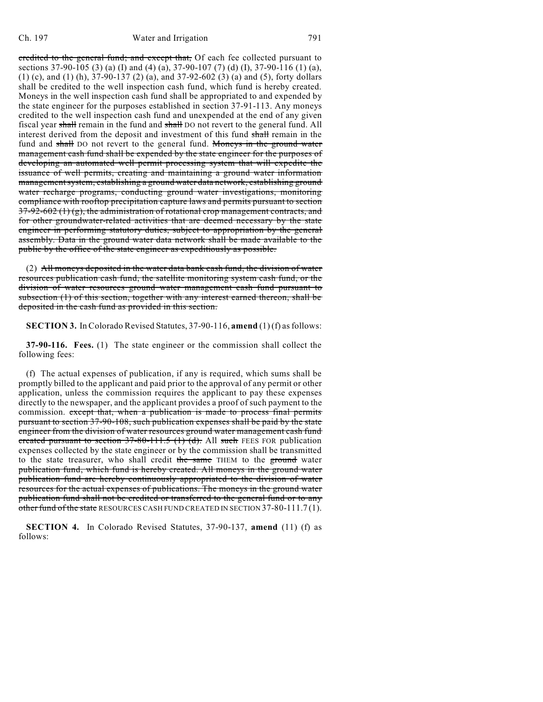credited to the general fund; and except that, Of each fee collected pursuant to sections 37-90-105 (3) (a) (I) and (4) (a), 37-90-107 (7) (d) (I), 37-90-116 (1) (a), (1) (c), and (1) (h), 37-90-137 (2) (a), and 37-92-602 (3) (a) and (5), forty dollars shall be credited to the well inspection cash fund, which fund is hereby created. Moneys in the well inspection cash fund shall be appropriated to and expended by the state engineer for the purposes established in section 37-91-113. Any moneys credited to the well inspection cash fund and unexpended at the end of any given fiscal year shall remain in the fund and shall DO not revert to the general fund. All interest derived from the deposit and investment of this fund shall remain in the fund and shall DO not revert to the general fund. Moneys in the ground water management cash fund shall be expended by the state engineer for the purposes of developing an automated well permit processing system that will expedite the issuance of well permits, creating and maintaining a ground water information management system, establishing a ground water data network, establishing ground water recharge programs, conducting ground water investigations, monitoring compliance with rooftop precipitation capture laws and permits pursuant to section  $37-92-602(1)(g)$ , the administration of rotational crop management contracts, and for other groundwater-related activities that are deemed necessary by the state engineer in performing statutory duties, subject to appropriation by the general assembly. Data in the ground water data network shall be made available to the public by the office of the state engineer as expeditiously as possible.

(2) All moneys deposited in the water data bank cash fund, the division of water resources publication cash fund, the satellite monitoring system cash fund, or the division of water resources ground water management cash fund pursuant to subsection (1) of this section, together with any interest earned thereon, shall be deposited in the cash fund as provided in this section.

**SECTION 3.** In Colorado Revised Statutes, 37-90-116, **amend** (1) (f) as follows:

**37-90-116. Fees.** (1) The state engineer or the commission shall collect the following fees:

(f) The actual expenses of publication, if any is required, which sums shall be promptly billed to the applicant and paid prior to the approval of any permit or other application, unless the commission requires the applicant to pay these expenses directly to the newspaper, and the applicant provides a proof of such payment to the commission. except that, when a publication is made to process final permits pursuant to section 37-90-108, such publication expenses shall be paid by the state engineer from the division of water resources ground water management cash fund created pursuant to section  $37-80-111.5$  (1) (d). All such FEES FOR publication expenses collected by the state engineer or by the commission shall be transmitted to the state treasurer, who shall credit the same THEM to the ground water publication fund, which fund is hereby created. All moneys in the ground water publication fund are hereby continuously appropriated to the division of water resources for the actual expenses of publications. The moneys in the ground water publication fund shall not be credited or transferred to the general fund or to any other fund of the state RESOURCES CASH FUND CREATED IN SECTION 37-80-111.7 (1).

**SECTION 4.** In Colorado Revised Statutes, 37-90-137, **amend** (11) (f) as follows: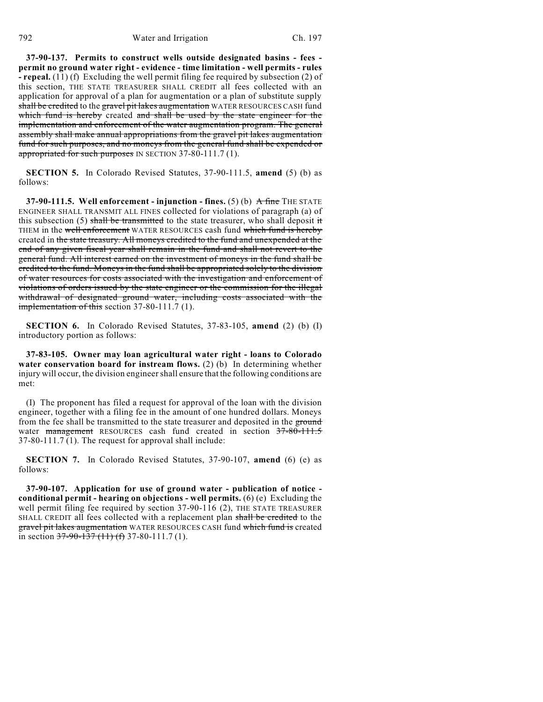**37-90-137. Permits to construct wells outside designated basins - fees permit no ground water right - evidence - time limitation - well permits - rules - repeal.** (11) (f) Excluding the well permit filing fee required by subsection (2) of this section, THE STATE TREASURER SHALL CREDIT all fees collected with an application for approval of a plan for augmentation or a plan of substitute supply shall be credited to the gravel pit lakes augmentation WATER RESOURCES CASH fund which fund is hereby created and shall be used by the state engineer for the implementation and enforcement of the water augmentation program. The general assembly shall make annual appropriations from the gravel pit lakes augmentation fund for such purposes, and no moneys from the general fund shall be expended or appropriated for such purposes IN SECTION 37-80-111.7 (1).

**SECTION 5.** In Colorado Revised Statutes, 37-90-111.5, **amend** (5) (b) as follows:

**37-90-111.5. Well enforcement - injunction - fines.** (5) (b)  $A$  fine THE STATE ENGINEER SHALL TRANSMIT ALL FINES collected for violations of paragraph (a) of this subsection  $(5)$  shall be transmitted to the state treasurer, who shall deposit it THEM in the well enforcement WATER RESOURCES cash fund which fund is hereby created in the state treasury. All moneys credited to the fund and unexpended at the end of any given fiscal year shall remain in the fund and shall not revert to the general fund. All interest earned on the investment of moneys in the fund shall be credited to the fund. Moneys in the fund shall be appropriated solely to the division of water resources for costs associated with the investigation and enforcement of violations of orders issued by the state engineer or the commission for the illegal withdrawal of designated ground water, including costs associated with the implementation of this section 37-80-111.7 (1).

**SECTION 6.** In Colorado Revised Statutes, 37-83-105, **amend** (2) (b) (I) introductory portion as follows:

**37-83-105. Owner may loan agricultural water right - loans to Colorado water conservation board for instream flows.** (2) (b) In determining whether injury will occur, the division engineershall ensure that the following conditions are met:

(I) The proponent has filed a request for approval of the loan with the division engineer, together with a filing fee in the amount of one hundred dollars. Moneys from the fee shall be transmitted to the state treasurer and deposited in the ground water management RESOURCES cash fund created in section 37-80-111.5 37-80-111.7 (1). The request for approval shall include:

**SECTION 7.** In Colorado Revised Statutes, 37-90-107, **amend** (6) (e) as follows:

**37-90-107. Application for use of ground water - publication of notice conditional permit - hearing on objections - well permits.** (6) (e) Excluding the well permit filing fee required by section 37-90-116 (2), THE STATE TREASURER SHALL CREDIT all fees collected with a replacement plan shall be credited to the gravel pit lakes augmentation WATER RESOURCES CASH fund which fund is created in section  $37-90-137(11)(f)$  37-80-111.7(1).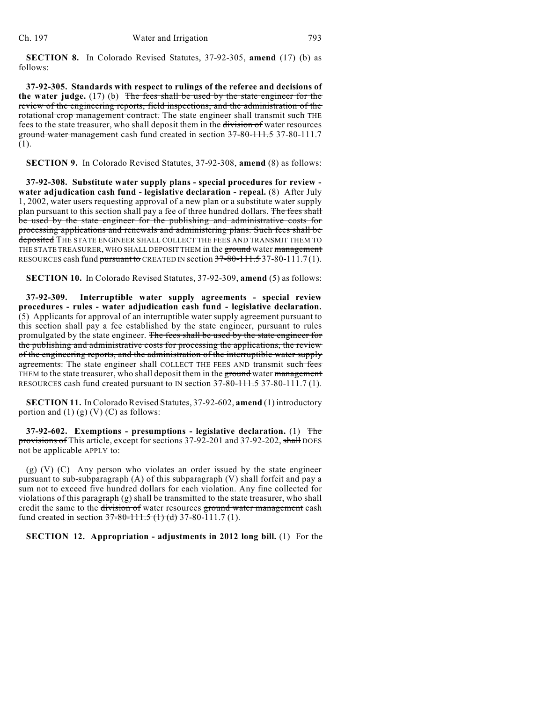**SECTION 8.** In Colorado Revised Statutes, 37-92-305, **amend** (17) (b) as follows:

**37-92-305. Standards with respect to rulings of the referee and decisions of the water judge.** (17) (b) The fees shall be used by the state engineer for the review of the engineering reports, field inspections, and the administration of the rotational crop management contract. The state engineer shall transmit such THE fees to the state treasurer, who shall deposit them in the division of water resources ground water management cash fund created in section 37-80-111.5 37-80-111.7 (1).

**SECTION 9.** In Colorado Revised Statutes, 37-92-308, **amend** (8) as follows:

**37-92-308. Substitute water supply plans - special procedures for review water adjudication cash fund - legislative declaration - repeal.** (8) After July 1, 2002, water users requesting approval of a new plan or a substitute water supply plan pursuant to this section shall pay a fee of three hundred dollars. The fees shall be used by the state engineer for the publishing and administrative costs for processing applications and renewals and administering plans. Such fees shall be deposited THE STATE ENGINEER SHALL COLLECT THE FEES AND TRANSMIT THEM TO THE STATE TREASURER, WHO SHALL DEPOSIT THEM in the ground water management RESOURCES cash fund pursuant to CREATED IN section  $37-80-111.537-80-111.7(1)$ .

**SECTION 10.** In Colorado Revised Statutes, 37-92-309, **amend** (5) as follows:

**37-92-309. Interruptible water supply agreements - special review procedures - rules - water adjudication cash fund - legislative declaration.** (5) Applicants for approval of an interruptible water supply agreement pursuant to this section shall pay a fee established by the state engineer, pursuant to rules promulgated by the state engineer. The fees shall be used by the state engineer for the publishing and administrative costs for processing the applications, the review of the engineering reports, and the administration of the interruptible water supply agreements. The state engineer shall COLLECT THE FEES AND transmit such fees THEM to the state treasurer, who shall deposit them in the ground water management RESOURCES cash fund created pursuant to IN section  $37-80-111.5$  37-80-111.7 (1).

**SECTION 11.** In Colorado Revised Statutes, 37-92-602, **amend** (1) introductory portion and  $(1)$   $(g)$   $(V)$   $(C)$  as follows:

**37-92-602. Exemptions - presumptions - legislative declaration.** (1) The provisions of This article, except for sections 37-92-201 and 37-92-202, shall DOES not be applicable APPLY to:

(g) (V) (C) Any person who violates an order issued by the state engineer pursuant to sub-subparagraph (A) of this subparagraph (V) shall forfeit and pay a sum not to exceed five hundred dollars for each violation. Any fine collected for violations of this paragraph  $(g)$  shall be transmitted to the state treasurer, who shall credit the same to the division of water resources ground water management cash fund created in section  $37-80-111.5$  (1) (d)  $37-80-111.7$  (1).

**SECTION 12. Appropriation - adjustments in 2012 long bill.** (1) For the